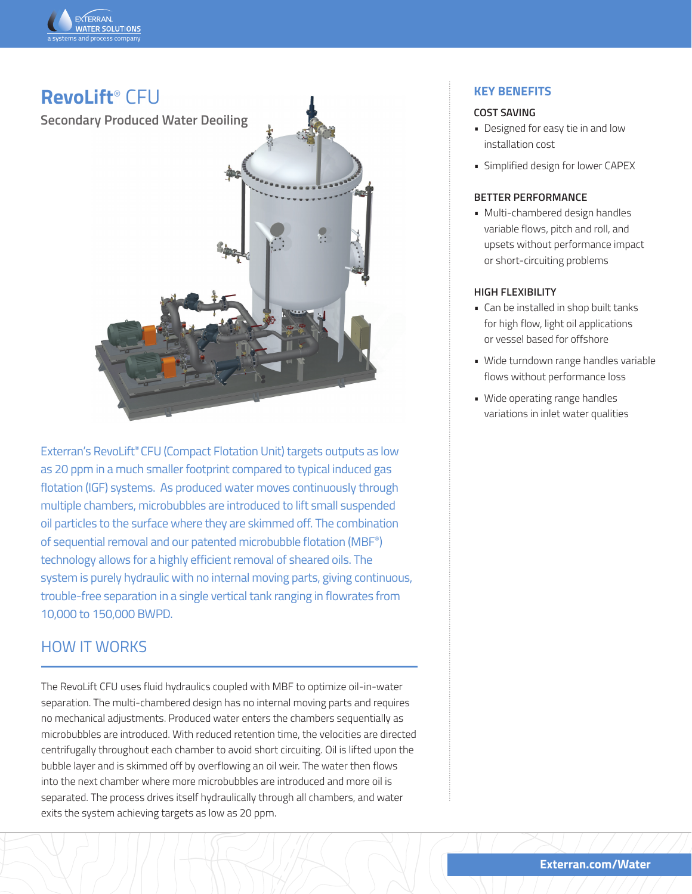



Exterran's RevoLift® CFU (Compact Flotation Unit) targets outputs as low as 20 ppm in a much smaller footprint compared to typical induced gas flotation (IGF) systems. As produced water moves continuously through multiple chambers, microbubbles are introduced to lift small suspended oil particles to the surface where they are skimmed off. The combination of sequential removal and our patented microbubble flotation (MBF®) technology allows for a highly efficient removal of sheared oils. The system is purely hydraulic with no internal moving parts, giving continuous, trouble-free separation in a single vertical tank ranging in flowrates from 10,000 to 150,000 BWPD.

# HOW IT WORKS

The RevoLift CFU uses fluid hydraulics coupled with MBF to optimize oil-in-water separation. The multi-chambered design has no internal moving parts and requires no mechanical adjustments. Produced water enters the chambers sequentially as microbubbles are introduced. With reduced retention time, the velocities are directed centrifugally throughout each chamber to avoid short circuiting. Oil is lifted upon the bubble layer and is skimmed off by overflowing an oil weir. The water then flows into the next chamber where more microbubbles are introduced and more oil is separated. The process drives itself hydraulically through all chambers, and water exits the system achieving targets as low as 20 ppm.

# **KEY BENEFITS**

### **COST SAVING**

- Designed for easy tie in and low installation cost
- Simplified design for lower CAPEX

#### **BETTER PERFORMANCE**

• Multi-chambered design handles variable flows, pitch and roll, and upsets without performance impact or short-circuiting problems

### **HIGH FLEXIBILITY**

- Can be installed in shop built tanks for high flow, light oil applications or vessel based for offshore
- Wide turndown range handles variable flows without performance loss
- Wide operating range handles variations in inlet water qualities